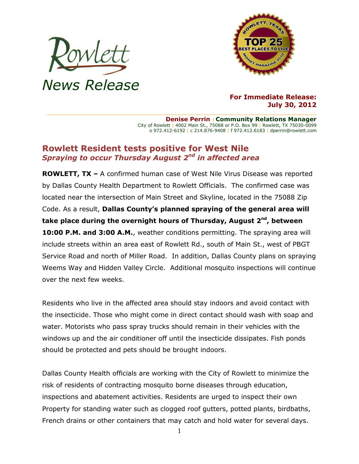



## **For Immediate Release: July 30, 2012**

**Denise Perrin** | **Community Relations Manager** City of Rowlett | 4002 Main St., 75088 or P.O. Box 99 | Rowlett, TX 75030-0099 o 972.412-6192 | c 214.876-9408 | f 972.412.6183 | dperrin@rowlett.com

## **Rowlett Resident tests positive for West Nile** *Spraying to occur Thursday August 2nd in affected area*

**ROWLETT, TX –** A confirmed human case of West Nile Virus Disease was reported by Dallas County Health Department to Rowlett Officials. The confirmed case was located near the intersection of Main Street and Skyline, located in the 75088 Zip Code. As a result, **Dallas County's planned spraying of the general area will take place during the overnight hours of Thursday, August 2nd , between 10:00 P.M. and 3:00 A.M.**, weather conditions permitting. The spraying area will include streets within an area east of Rowlett Rd., south of Main St., west of PBGT Service Road and north of Miller Road. In addition, Dallas County plans on spraying Weems Way and Hidden Valley Circle. Additional mosquito inspections will continue over the next few weeks.

Residents who live in the affected area should stay indoors and avoid contact with the insecticide. Those who might come in direct contact should wash with soap and water. Motorists who pass spray trucks should remain in their vehicles with the windows up and the air conditioner off until the insecticide dissipates. Fish ponds should be protected and pets should be brought indoors.

Dallas County Health officials are working with the City of Rowlett to minimize the risk of residents of contracting mosquito borne diseases through education, inspections and abatement activities. Residents are urged to inspect their own Property for standing water such as clogged roof gutters, potted plants, birdbaths, French drains or other containers that may catch and hold water for several days.